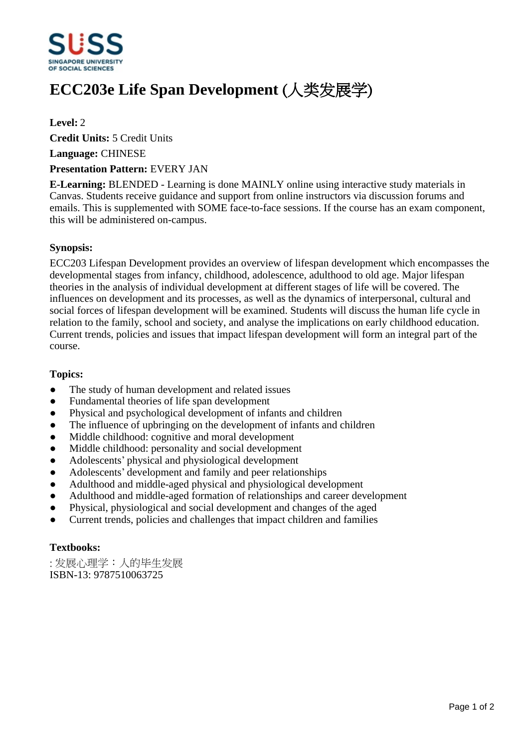

# **ECC203e Life Span Development (人类发展学)**

## **Level:** 2

**Credit Units:** 5 Credit Units

**Language:** CHINESE

#### **Presentation Pattern:** EVERY JAN

**E-Learning:** BLENDED - Learning is done MAINLY online using interactive study materials in Canvas. Students receive guidance and support from online instructors via discussion forums and emails. This is supplemented with SOME face-to-face sessions. If the course has an exam component, this will be administered on-campus.

## **Synopsis:**

ECC203 Lifespan Development provides an overview of lifespan development which encompasses the developmental stages from infancy, childhood, adolescence, adulthood to old age. Major lifespan theories in the analysis of individual development at different stages of life will be covered. The influences on development and its processes, as well as the dynamics of interpersonal, cultural and social forces of lifespan development will be examined. Students will discuss the human life cycle in relation to the family, school and society, and analyse the implications on early childhood education. Current trends, policies and issues that impact lifespan development will form an integral part of the course.

#### **Topics:**

- The study of human development and related issues
- Fundamental theories of life span development
- Physical and psychological development of infants and children
- The influence of upbringing on the development of infants and children
- Middle childhood: cognitive and moral development
- Middle childhood: personality and social development
- Adolescents' physical and physiological development
- Adolescents' development and family and peer relationships
- Adulthood and middle-aged physical and physiological development
- Adulthood and middle-aged formation of relationships and career development
- ƔPhysical, physiological and social development and changes of the aged
- ƔCurrent trends, policies and challenges that impact children and families

# **Textbooks:**

:发展心理学:人的毕生发展 ISBN-13: 9787510063725